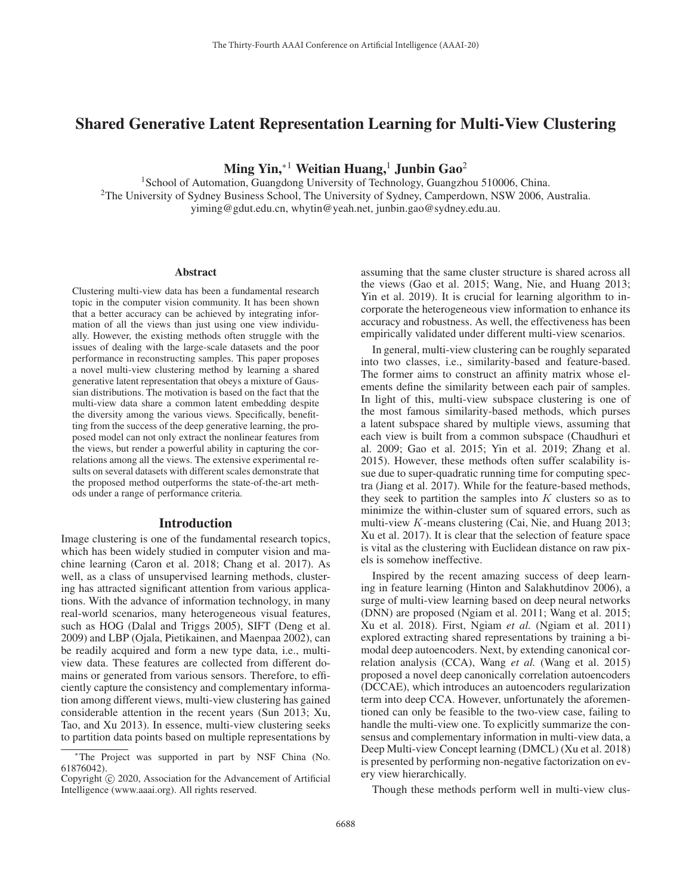# Shared Generative Latent Representation Learning for Multi-View Clustering

Ming Yin,<sup>∗1</sup> Weitian Huang,<sup>1</sup> Junbin Gao<sup>2</sup>

<sup>1</sup>School of Automation, Guangdong University of Technology, Guangzhou 510006, China. 2The University of Sydney Business School, The University of Sydney, Camperdown, NSW 2006, Australia. yiming@gdut.edu.cn, whytin@yeah.net, junbin.gao@sydney.edu.au.

#### Abstract

Clustering multi-view data has been a fundamental research topic in the computer vision community. It has been shown that a better accuracy can be achieved by integrating information of all the views than just using one view individually. However, the existing methods often struggle with the issues of dealing with the large-scale datasets and the poor performance in reconstructing samples. This paper proposes a novel multi-view clustering method by learning a shared generative latent representation that obeys a mixture of Gaussian distributions. The motivation is based on the fact that the multi-view data share a common latent embedding despite the diversity among the various views. Specifically, benefitting from the success of the deep generative learning, the proposed model can not only extract the nonlinear features from the views, but render a powerful ability in capturing the correlations among all the views. The extensive experimental results on several datasets with different scales demonstrate that the proposed method outperforms the state-of-the-art methods under a range of performance criteria.

### Introduction

Image clustering is one of the fundamental research topics, which has been widely studied in computer vision and machine learning (Caron et al. 2018; Chang et al. 2017). As well, as a class of unsupervised learning methods, clustering has attracted significant attention from various applications. With the advance of information technology, in many real-world scenarios, many heterogeneous visual features, such as HOG (Dalal and Triggs 2005), SIFT (Deng et al. 2009) and LBP (Ojala, Pietikainen, and Maenpaa 2002), can be readily acquired and form a new type data, i.e., multiview data. These features are collected from different domains or generated from various sensors. Therefore, to efficiently capture the consistency and complementary information among different views, multi-view clustering has gained considerable attention in the recent years (Sun 2013; Xu, Tao, and Xu 2013). In essence, multi-view clustering seeks to partition data points based on multiple representations by

assuming that the same cluster structure is shared across all the views (Gao et al. 2015; Wang, Nie, and Huang 2013; Yin et al. 2019). It is crucial for learning algorithm to incorporate the heterogeneous view information to enhance its accuracy and robustness. As well, the effectiveness has been empirically validated under different multi-view scenarios.

In general, multi-view clustering can be roughly separated into two classes, i.e., similarity-based and feature-based. The former aims to construct an affinity matrix whose elements define the similarity between each pair of samples. In light of this, multi-view subspace clustering is one of the most famous similarity-based methods, which purses a latent subspace shared by multiple views, assuming that each view is built from a common subspace (Chaudhuri et al. 2009; Gao et al. 2015; Yin et al. 2019; Zhang et al. 2015). However, these methods often suffer scalability issue due to super-quadratic running time for computing spectra (Jiang et al. 2017). While for the feature-based methods, they seek to partition the samples into  $K$  clusters so as to minimize the within-cluster sum of squared errors, such as multi-view K-means clustering (Cai, Nie, and Huang 2013; Xu et al. 2017). It is clear that the selection of feature space is vital as the clustering with Euclidean distance on raw pixels is somehow ineffective.

Inspired by the recent amazing success of deep learning in feature learning (Hinton and Salakhutdinov 2006), a surge of multi-view learning based on deep neural networks (DNN) are proposed (Ngiam et al. 2011; Wang et al. 2015; Xu et al. 2018). First, Ngiam *et al.* (Ngiam et al. 2011) explored extracting shared representations by training a bimodal deep autoencoders. Next, by extending canonical correlation analysis (CCA), Wang *et al.* (Wang et al. 2015) proposed a novel deep canonically correlation autoencoders (DCCAE), which introduces an autoencoders regularization term into deep CCA. However, unfortunately the aforementioned can only be feasible to the two-view case, failing to handle the multi-view one. To explicitly summarize the consensus and complementary information in multi-view data, a Deep Multi-view Concept learning (DMCL) (Xu et al. 2018) is presented by performing non-negative factorization on every view hierarchically.

Though these methods perform well in multi-view clus-

<sup>∗</sup>The Project was supported in part by NSF China (No. 61876042).

Copyright  $\odot$  2020, Association for the Advancement of Artificial Intelligence (www.aaai.org). All rights reserved.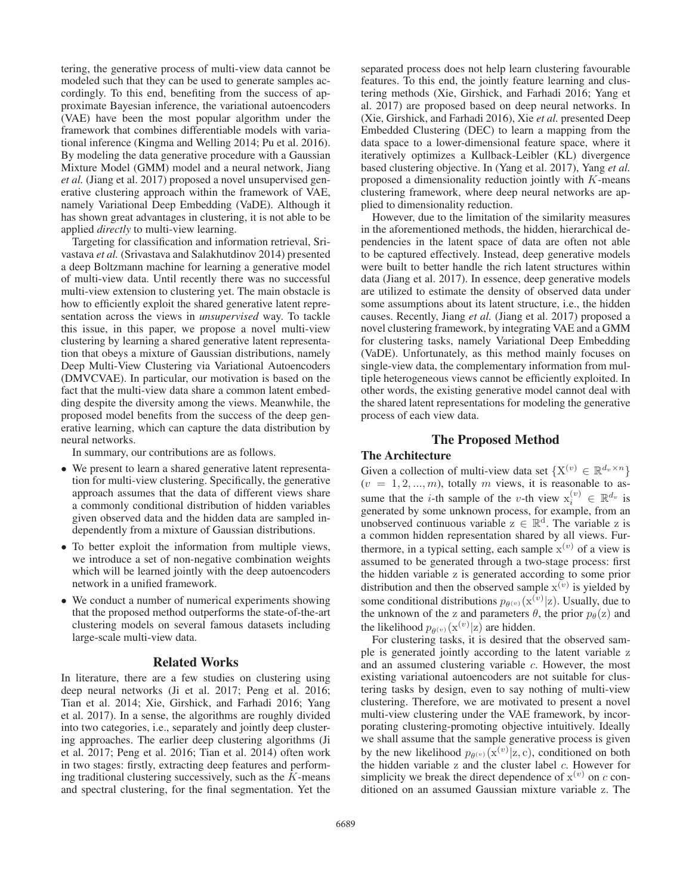tering, the generative process of multi-view data cannot be modeled such that they can be used to generate samples accordingly. To this end, benefiting from the success of approximate Bayesian inference, the variational autoencoders (VAE) have been the most popular algorithm under the framework that combines differentiable models with variational inference (Kingma and Welling 2014; Pu et al. 2016). By modeling the data generative procedure with a Gaussian Mixture Model (GMM) model and a neural network, Jiang *et al.* (Jiang et al. 2017) proposed a novel unsupervised generative clustering approach within the framework of VAE, namely Variational Deep Embedding (VaDE). Although it has shown great advantages in clustering, it is not able to be applied *directly* to multi-view learning.

Targeting for classification and information retrieval, Srivastava *et al.* (Srivastava and Salakhutdinov 2014) presented a deep Boltzmann machine for learning a generative model of multi-view data. Until recently there was no successful multi-view extension to clustering yet. The main obstacle is how to efficiently exploit the shared generative latent representation across the views in *unsupervised* way. To tackle this issue, in this paper, we propose a novel multi-view clustering by learning a shared generative latent representation that obeys a mixture of Gaussian distributions, namely Deep Multi-View Clustering via Variational Autoencoders (DMVCVAE). In particular, our motivation is based on the fact that the multi-view data share a common latent embedding despite the diversity among the views. Meanwhile, the proposed model benefits from the success of the deep generative learning, which can capture the data distribution by neural networks.

In summary, our contributions are as follows.

- We present to learn a shared generative latent representation for multi-view clustering. Specifically, the generative approach assumes that the data of different views share a commonly conditional distribution of hidden variables given observed data and the hidden data are sampled independently from a mixture of Gaussian distributions.
- To better exploit the information from multiple views, we introduce a set of non-negative combination weights which will be learned jointly with the deep autoencoders network in a unified framework.
- We conduct a number of numerical experiments showing that the proposed method outperforms the state-of-the-art clustering models on several famous datasets including large-scale multi-view data.

### Related Works

In literature, there are a few studies on clustering using deep neural networks (Ji et al. 2017; Peng et al. 2016; Tian et al. 2014; Xie, Girshick, and Farhadi 2016; Yang et al. 2017). In a sense, the algorithms are roughly divided into two categories, i.e., separately and jointly deep clustering approaches. The earlier deep clustering algorithms (Ji et al. 2017; Peng et al. 2016; Tian et al. 2014) often work in two stages: firstly, extracting deep features and performing traditional clustering successively, such as the  $K$ -means and spectral clustering, for the final segmentation. Yet the separated process does not help learn clustering favourable features. To this end, the jointly feature learning and clustering methods (Xie, Girshick, and Farhadi 2016; Yang et al. 2017) are proposed based on deep neural networks. In (Xie, Girshick, and Farhadi 2016), Xie *et al.* presented Deep Embedded Clustering (DEC) to learn a mapping from the data space to a lower-dimensional feature space, where it iteratively optimizes a Kullback-Leibler (KL) divergence based clustering objective. In (Yang et al. 2017), Yang *et al.* proposed a dimensionality reduction jointly with K-means clustering framework, where deep neural networks are applied to dimensionality reduction.

However, due to the limitation of the similarity measures in the aforementioned methods, the hidden, hierarchical dependencies in the latent space of data are often not able to be captured effectively. Instead, deep generative models were built to better handle the rich latent structures within data (Jiang et al. 2017). In essence, deep generative models are utilized to estimate the density of observed data under some assumptions about its latent structure, i.e., the hidden causes. Recently, Jiang *et al.* (Jiang et al. 2017) proposed a novel clustering framework, by integrating VAE and a GMM for clustering tasks, namely Variational Deep Embedding (VaDE). Unfortunately, as this method mainly focuses on single-view data, the complementary information from multiple heterogeneous views cannot be efficiently exploited. In other words, the existing generative model cannot deal with the shared latent representations for modeling the generative process of each view data.

## The Proposed Method

### The Architecture

Given a collection of multi-view data set  $\{X^{(v)} \in \mathbb{R}^{d_v \times n}\}\$  $(v = 1, 2, ..., m)$ , totally m views, it is reasonable to assume that the *i*-th sample of the *v*-th view  $x_i^{(v)} \in \mathbb{R}^{d_v}$  is generated by some unknown process for example from an generated by some unknown process, for example, from an unobserved continuous variable  $z \in \mathbb{R}^d$ . The variable z is a common hidden representation shared by all views. Furthermore, in a typical setting, each sample  $x^{(v)}$  of a view is assumed to be generated through a two-stage process: first the hidden variable z is generated according to some prior distribution and then the observed sample  $x^{(v)}$  is yielded by some conditional distributions  $p_{\theta(v)}(\mathbf{x}^{(v)}|\mathbf{z})$ . Usually, due to the unknown of the z and parameters  $\theta$  the prior  $p_{\theta}(\mathbf{z})$  and the unknown of the z and parameters  $\theta$ , the prior  $p_{\theta}(z)$  and the likelihood  $p_{\theta(v)}(\mathbf{x}^{(v)}|\mathbf{z})$  are hidden.<br>For clustering tasks, it is desired the

For clustering tasks, it is desired that the observed sample is generated jointly according to the latent variable z and an assumed clustering variable c. However, the most existing variational autoencoders are not suitable for clustering tasks by design, even to say nothing of multi-view clustering. Therefore, we are motivated to present a novel multi-view clustering under the VAE framework, by incorporating clustering-promoting objective intuitively. Ideally we shall assume that the sample generative process is given by the new likelihood  $p_{\theta(v)}(\mathbf{x}^{(v)}|\mathbf{z}, c)$ , conditioned on both the hidden variable z and the cluster label c. However for the hidden variable  $z$  and the cluster label  $c$ . However for simplicity we break the direct dependence of  $x^{(v)}$  on c conditioned on an assumed Gaussian mixture variable z. The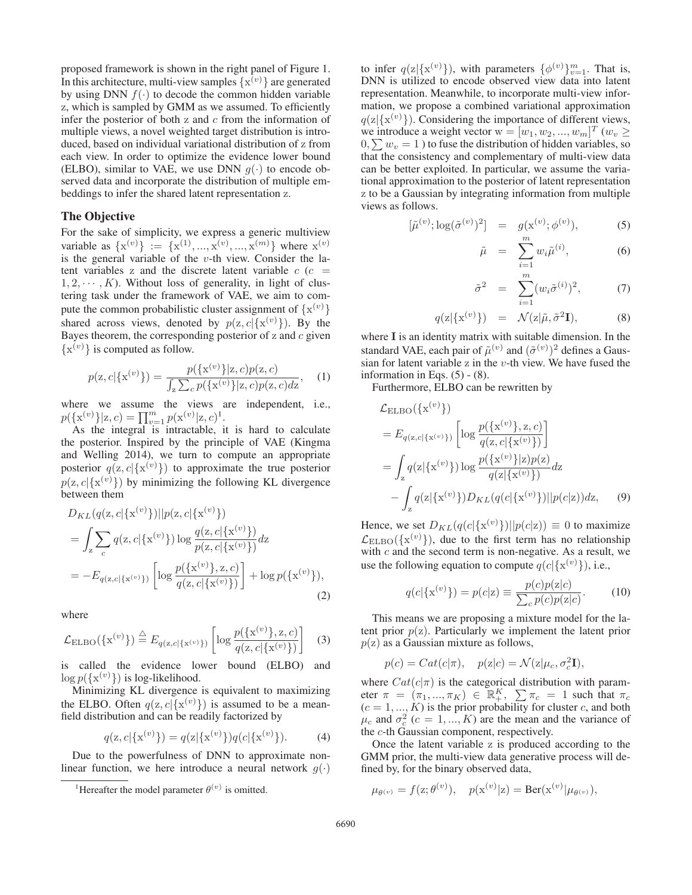proposed framework is shown in the right panel of Figure 1. In this architecture, multi-view samples  $\{x^{(v)}\}$  are generated by using DNN  $f(.)$  to decode the common hidden variable by using DNN  $f(\cdot)$  to decode the common hidden variable z, which is sampled by GMM as we assumed. To efficiently infer the posterior of both z and  $c$  from the information of multiple views, a novel weighted target distribution is introduced, based on individual variational distribution of z from each view. In order to optimize the evidence lower bound (ELBO), similar to VAE, we use DNN  $q(\cdot)$  to encode observed data and incorporate the distribution of multiple embeddings to infer the shared latent representation z.

### The Objective

For the sake of simplicity, we express a generic multiview variable as  $\{x^{(v)}\} := \{x^{(1)}, ..., x^{(v)}, ..., x^{(m)}\}$  where  $x^{(v)}$  is the general variable of the *n*-th view Consider the lais the general variable of the  $v$ -th view. Consider the latent variables z and the discrete latent variable  $c$  ( $c =$  $1, 2, \dots, K$ ). Without loss of generality, in light of clustering task under the framework of VAE, we aim to compute the common probabilistic cluster assignment of  $\{x^{(v)}\}$ <br>shared, across, views, denoted by  $p(z|c(x^{(v)}))$ . By the shared across views, denoted by  $p(z, c | \{x^{(v)}\})$ . By the Bayes theorem the corresponding posterior of z and c given Bayes theorem, the corresponding posterior of  $z$  and  $c$  given  $\{x^{(v)}\}$  is computed as follow.

$$
p(\mathbf{z}, c | \{\mathbf{x}^{(v)}\}) = \frac{p(\{\mathbf{x}^{(v)}\} | \mathbf{z}, c)p(\mathbf{z}, c)}{\int_{\mathbf{z}} \sum_{c} p(\{\mathbf{x}^{(v)}\} | \mathbf{z}, c)p(\mathbf{z}, c) d\mathbf{z}}, \quad (1)
$$

where we assume the views are independent, i.e.,  $p({\mathbf{x}^{(v)}}|{\mathbf{z}}, c) = \prod_{v=1}^{m} p({\mathbf{x}^{(v)}}|{\mathbf{z}}, c)^{1}$ .<br>As the integral is intractable in

As the integral is intractable, it is hard to calculate the posterior. Inspired by the principle of VAE (Kingma and Welling 2014), we turn to compute an appropriate posterior  $q(z, c | \{x^{(v)}\})$  to approximate the true posterior  $p(z, c | \{x^{(v)}\})$  by minimizing the following KL divergence  $p(z, c | {x<sup>(v)</sup>} )$  by minimizing the following KL divergence<br>between them between them

$$
D_{KL}(q(\mathbf{z}, c | \{\mathbf{x}^{(v)}\}) || p(\mathbf{z}, c | \{\mathbf{x}^{(v)}\})
$$
  
= 
$$
\int_{\mathbf{z}} \sum_{c} q(\mathbf{z}, c | \{\mathbf{x}^{(v)}\}) \log \frac{q(\mathbf{z}, c | \{\mathbf{x}^{(v)}\})}{p(\mathbf{z}, c | \{\mathbf{x}^{(v)}\})} d\mathbf{z}
$$
  
= 
$$
-E_{q(\mathbf{z}, c | \{\mathbf{x}^{(v)}\})} \left[ \log \frac{p(\{\mathbf{x}^{(v)}\}, \mathbf{z}, c)}{q(\mathbf{z}, c | \{\mathbf{x}^{(v)}\})} \right] + \log p(\{\mathbf{x}^{(v)}\}),
$$
(2)

where

$$
\mathcal{L}_{\text{ELBO}}(\{\mathbf{x}^{(v)}\}) \stackrel{\triangle}{=} E_{q(\mathbf{z},c|\{\mathbf{x}^{(v)}\})} \left[ \log \frac{p(\{\mathbf{x}^{(v)}\}, \mathbf{z}, c)}{q(\mathbf{z},c|\{\mathbf{x}^{(v)}\})} \right] \quad (3)
$$

is called the evidence lower bound (ELBO) and  $\log p(\lbrace \mathbf{x}^{(v)} \rbrace)$  is log-likelihood.<br>Minimizing KL divergence

Minimizing KL divergence is equivalent to maximizing the ELBO. Often  $q(z, c | \{x^{(v)}\})$  is assumed to be a mean-<br>field distribution and can be readily factorized by field distribution and can be readily factorized by

$$
q(\mathbf{z}, c | \{\mathbf{x}^{(v)}\}) = q(\mathbf{z} | \{\mathbf{x}^{(v)}\}) q(c | \{\mathbf{x}^{(v)}\}). \tag{4}
$$

Due to the powerfulness of DNN to approximate nonlinear function, we here introduce a neural network  $g(\cdot)$ 

to infer  $q(z|\{x^{(v)}\})$ , with parameters  $\{\phi^{(v)}\}_{v=1}^m$ . That is,<br>DNN is utilized to encode observed view data into latent DNN is utilized to encode observed view data into latent representation. Meanwhile, to incorporate multi-view information, we propose a combined variational approximation  $q(z|\{x^{(v)}\})$ . Considering the importance of different views,<br>we introduce a weight vector  $w = [w_1, w_2, \ldots, w_m]^T$  ( $w_n >$ we introduce a weight vector  $w = [w_1, w_2, ..., w_m]^T (w_v \ge 0 \sum w_v = 1)$  to fuse the distribution of hidden variables so  $0, \sum w_v = 1$  ) to fuse the distribution of hidden variables, so that the consistency and complementary of multi-view data that the consistency and complementary of multi-view data can be better exploited. In particular, we assume the variational approximation to the posterior of latent representation z to be a Gaussian by integrating information from multiple views as follows.

$$
[\tilde{\mu}^{(v)}; \log(\tilde{\sigma}^{(v)})^2] = g(\mathbf{x}^{(v)}; \phi^{(v)}), \tag{5}
$$

$$
\tilde{\mu} = \sum_{i=1}^{m} w_i \tilde{\mu}^{(i)}, \qquad (6)
$$

$$
\tilde{\sigma}^2 = \sum_{i=1}^m (w_i \tilde{\sigma}^{(i)})^2, \qquad (7)
$$

$$
q(\mathbf{z}|\{\mathbf{x}^{(v)}\}) = \mathcal{N}(\mathbf{z}|\tilde{\mu}, \tilde{\sigma}^2 \mathbf{I}), \tag{8}
$$

where **I** is an identity matrix with suitable dimension. In the standard VAE, each pair of  $\tilde{\mu}^{(v)}$  and  $(\tilde{\sigma}^{(v)})^2$  defines a Gaus-<br>sian for latent variable z in the *y*-th view. We have fused the sian for latent variable z in the  $v$ -th view. We have fused the information in Eqs.  $(5) - (8)$ .

Furthermore, ELBO can be rewritten by

$$
\mathcal{L}_{ELBO}(\{x^{(v)}\})
$$
\n
$$
= E_{q(z,c|\{x^{(v)}\})} \left[ \log \frac{p(\{x^{(v)}\}, z, c)}{q(z,c|\{x^{(v)}\})} \right]
$$
\n
$$
= \int_{z} q(z|\{x^{(v)}\}) \log \frac{p(\{x^{(v)}\}|z)p(z)}{q(z|\{x^{(v)}\})} dz
$$
\n
$$
- \int_{z} q(z|\{x^{(v)}\}) D_{KL}(q(c|\{x^{(v)}\})||p(c|z)) dz, \qquad (9)
$$

Hence, we set  $D_{KL}(q(c|\{x^{(v)}\})||p(c|z)) \equiv 0$  to maximize  $\mathcal{L}_{\text{ELBO}}(\{x^{(v)}\})$ , due to the first term has no relationship with c and the second term is non-negative. As a result we with  $c$  and the second term is non-negative. As a result, we use the following equation to compute  $q(c|\{\mathbf{x}^{(v)}\})$ , i.e.,

$$
q(c|\{\mathbf{x}^{(v)}\}) = p(c|\mathbf{z}) \equiv \frac{p(c)p(\mathbf{z}|c)}{\sum_{c} p(c)p(\mathbf{z}|c)}.
$$
 (10)

This means we are proposing a mixture model for the latent prior  $p(z)$ . Particularly we implement the latent prior  $p(z)$  as a Gaussian mixture as follows,

$$
p(c) = Cat(c|\pi), \quad p(z|c) = \mathcal{N}(z|\mu_c, \sigma_c^2 \mathbf{I}),
$$

where  $Cat(c|\pi)$  is the categorical distribution with param-<br>eter  $\pi = (\pi, \pi_K) \in \mathbb{R}^K$   $\sum \pi_i = 1$  such that  $\pi_i$ eter  $\pi = (\pi_1, ..., \pi_K) \in \mathbb{R}_+^K$ ,  $\sum \pi_c = 1$  such that  $\pi_c$ <br>  $(c = 1, ..., K)$  is the prior probability for cluster c and both  $(c = 1, ..., K)$  is the prior probability for cluster c, and both  $u_a$  and  $\sigma^2$   $(c = 1, K)$  are the mean and the variance of  $\mu_c$  and  $\sigma_c^2$  ( $c = 1, ..., K$ ) are the mean and the variance of the c-th Gaussian component respectively the c-th Gaussian component, respectively.

Once the latent variable z is produced according to the GMM prior, the multi-view data generative process will defined by, for the binary observed data,

$$
\mu_{\theta^{(v)}} = f(z; \theta^{(v)}), \quad p(x^{(v)}|z) = \text{Ber}(x^{(v)} | \mu_{\theta^{(v)}}),
$$

<sup>&</sup>lt;sup>1</sup>Hereafter the model parameter  $\theta^{(v)}$  is omitted.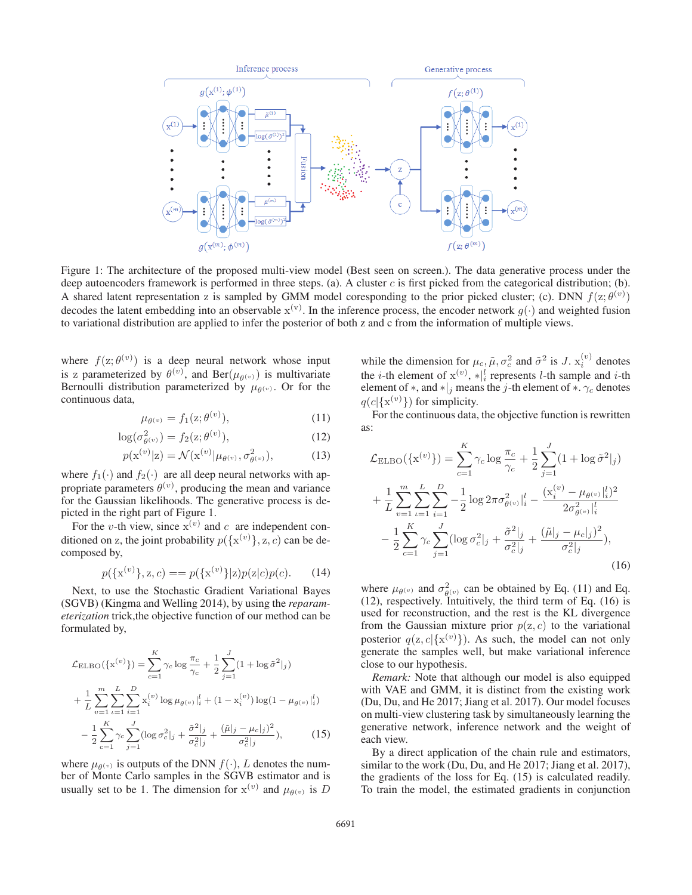

Figure 1: The architecture of the proposed multi-view model (Best seen on screen.). The data generative process under the deep autoencoders framework is performed in three steps. (a). A cluster  $c$  is first picked from the categorical distribution; (b). A shared latent representation z is sampled by GMM model coresponding to the prior picked cluster; (c). DNN  $f(z; \theta^{(v)})$ decodes the latent embedding into an observable  $x^{(v)}$ . In the inference process, the encoder network  $g(\cdot)$  and weighted fusion to variational distribution are applied to infer the posterior of both z and c from the inf to variational distribution are applied to infer the posterior of both z and c from the information of multiple views.

where  $f(z; \theta^{(v)})$  is a deep neural network whose input<br>is z parameterized by  $\theta^{(v)}$  and Ber( $(u, \cdot)$ ) is multivariate is z parameterized by  $\theta^{(v)}$ , and Ber( $\mu_{\theta^{(v)}}$ ) is multivariate<br>Bernoulli distribution parameterized by  $\mu_{\theta^{(v)}}$  Or for the Bernoulli distribution parameterized by  $\mu_{\theta}(v)$ . Or for the continuous data,

$$
\mu_{\theta^{(v)}} = f_1(\mathbf{z}; \theta^{(v)}),\tag{11}
$$

$$
\log(\sigma_{\theta^{(v)}}^2) = f_2(z; \theta^{(v)}),\tag{12}
$$

$$
p(\mathbf{x}^{(v)}|\mathbf{z}) = \mathcal{N}(\mathbf{x}^{(v)}|\mu_{\theta^{(v)}}, \sigma_{\theta^{(v)}}^2),
$$
 (13)

where  $f_1(\cdot)$  and  $f_2(\cdot)$  are all deep neural networks with appropriate parameters  $\theta^{(v)}$ , producing the mean and variance for the Gaussian likelihoods. The generative process is depicted in the right part of Figure 1.

For the v-th view, since  $x^{(v)}$  and c are independent conditioned on z, the joint probability  $p({x^{(v)}}, z, c)$  can be decomposed by composed by,

$$
p(\{\mathbf{x}^{(v)}\}, \mathbf{z}, c) = = p(\{\mathbf{x}^{(v)}\}|\mathbf{z})p(\mathbf{z}|c)p(c). \tag{14}
$$

Next, to use the Stochastic Gradient Variational Bayes (SGVB) (Kingma and Welling 2014), by using the *reparameterization* trick,the objective function of our method can be formulated by,

$$
\mathcal{L}_{\text{ELBO}}(\{\mathbf{x}^{(v)}\}) = \sum_{c=1}^{K} \gamma_c \log \frac{\pi_c}{\gamma_c} + \frac{1}{2} \sum_{j=1}^{J} (1 + \log \tilde{\sigma}^2|_j) \n+ \frac{1}{L} \sum_{v=1}^{m} \sum_{i=1}^{L} \sum_{i=1}^{D} \mathbf{x}_i^{(v)} \log \mu_{\theta^{(v)}}|_i^l + (1 - \mathbf{x}_i^{(v)}) \log (1 - \mu_{\theta^{(v)}}|_i^l) \n- \frac{1}{2} \sum_{c=1}^{K} \gamma_c \sum_{j=1}^{J} (\log \sigma_c^2|_j + \frac{\tilde{\sigma}^2|_j}{\sigma_c^2|_j} + \frac{(\tilde{\mu}|_j - \mu_c|_j)^2}{\sigma_c^2|_j}), \tag{15}
$$

where  $\mu_{\theta(v)}$  is outputs of the DNN  $f(\cdot)$ , L denotes the number of Monte Carlo samples in the SGVB estimator and is usually set to be 1. The dimension for  $x^{(v)}$  and  $\mu_{\theta^{(v)}}$  is D

while the dimension for  $\mu_c$ ,  $\tilde{\mu}$ ,  $\sigma_c^2$  and  $\tilde{\sigma}^2$  is J.  $x_i^{(v)}$  denotes the *i* th element of  $x^{(v)}$   $\star$ <sup>1</sup> represents *l* th sample and *i* th the *i*-th element of  $x^{(v)}$ ,  $*|_i^l$  represents *l*-th sample and *i*-th element of  $*$  and  $*|_i$  means the *i*-th element of  $*$   $\gamma$  denotes element of  $*$ , and  $*|_j$  means the j-th element of  $*$ .  $\gamma_c$  denotes  $q(c|\{x^{(v)}\})$  for simplicity.<br>For the continuous data

For the continuous data, the objective function is rewritten as:

$$
\mathcal{L}_{ELBO}(\{\mathbf{x}^{(v)}\}) = \sum_{c=1}^{K} \gamma_c \log \frac{\pi_c}{\gamma_c} + \frac{1}{2} \sum_{j=1}^{J} (1 + \log \tilde{\sigma}^2 |_{j}) \n+ \frac{1}{L} \sum_{v=1}^{m} \sum_{i=1}^{L} \sum_{i=1}^{D} -\frac{1}{2} \log 2\pi \sigma_{\theta(v)}^2 |_{i}^{l} - \frac{(\mathbf{x}_i^{(v)} - \mu_{\theta(v)}|_{i}^{l})^2}{2\sigma_{\theta(v)}^2 |_{i}^{l}} \n- \frac{1}{2} \sum_{c=1}^{K} \gamma_c \sum_{j=1}^{J} (\log \sigma_c^2 |_{j} + \frac{\tilde{\sigma}^2 |_{j}}{\sigma_c^2 |_{j}} + \frac{(\tilde{\mu}|_{j} - \mu_c|_{j})^2}{\sigma_c^2 |_{j}}),
$$
\n(16)

where  $\mu_{\theta}(v)$  and  $\sigma_{\theta}(v)$  can be obtained by Eq. (11) and Eq. (12), respectively. Intuitively, the third term of Eq. (16) is used for reconstruction, and the rest is the KL divergence from the Gaussian mixture prior  $p(z, c)$  to the variational posterior  $q(z, c | \{x^{(v)}\})$ . As such, the model can not only generate the samples well but make variational inference generate the samples well, but make variational inference close to our hypothesis.

*Remark:* Note that although our model is also equipped with VAE and GMM, it is distinct from the existing work (Du, Du, and He 2017; Jiang et al. 2017). Our model focuses on multi-view clustering task by simultaneously learning the generative network, inference network and the weight of each view.

By a direct application of the chain rule and estimators, similar to the work (Du, Du, and He 2017; Jiang et al. 2017), the gradients of the loss for Eq. (15) is calculated readily. To train the model, the estimated gradients in conjunction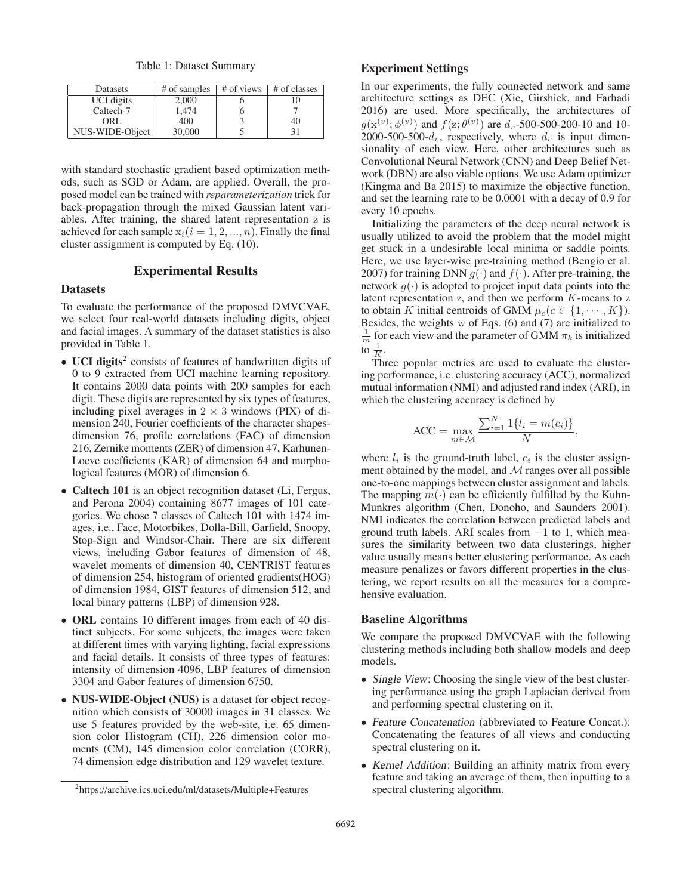Table 1: Dataset Summary

| Datasets        | # of samples | # of views | # of classes |
|-----------------|--------------|------------|--------------|
| UCI digits      | 2.000        |            |              |
| Caltech-7       | 1.474        |            |              |
| ORL.            | 400          |            | 40           |
| NUS-WIDE-Object | 30,000       |            | 31           |

with standard stochastic gradient based optimization methods, such as SGD or Adam, are applied. Overall, the proposed model can be trained with *reparameterization* trick for back-propagation through the mixed Gaussian latent variables. After training, the shared latent representation z is achieved for each sample  $x_i(i = 1, 2, ..., n)$ . Finally the final cluster assignment is computed by Eq. (10).

# Experimental Results

### **Datasets**

To evaluate the performance of the proposed DMVCVAE, we select four real-world datasets including digits, object and facial images. A summary of the dataset statistics is also provided in Table 1.

- UCI digits<sup>2</sup> consists of features of handwritten digits of 0 to 9 extracted from UCI machine learning repository. It contains 2000 data points with 200 samples for each digit. These digits are represented by six types of features, including pixel averages in  $2 \times 3$  windows (PIX) of dimension 240, Fourier coefficients of the character shapesdimension 76, profile correlations (FAC) of dimension 216, Zernike moments (ZER) of dimension 47, Karhunen-Loeve coefficients (KAR) of dimension 64 and morphological features (MOR) of dimension 6.
- Caltech 101 is an object recognition dataset (Li, Fergus, and Perona 2004) containing 8677 images of 101 categories. We chose 7 classes of Caltech 101 with 1474 images, i.e., Face, Motorbikes, Dolla-Bill, Garfield, Snoopy, Stop-Sign and Windsor-Chair. There are six different views, including Gabor features of dimension of 48, wavelet moments of dimension 40, CENTRIST features of dimension 254, histogram of oriented gradients(HOG) of dimension 1984, GIST features of dimension 512, and local binary patterns (LBP) of dimension 928.
- ORL contains 10 different images from each of 40 distinct subjects. For some subjects, the images were taken at different times with varying lighting, facial expressions and facial details. It consists of three types of features: intensity of dimension 4096, LBP features of dimension 3304 and Gabor features of dimension 6750.
- NUS-WIDE-Object (NUS) is a dataset for object recognition which consists of 30000 images in 31 classes. We use 5 features provided by the web-site, i.e. 65 dimension color Histogram (CH), 226 dimension color moments (CM), 145 dimension color correlation (CORR), 74 dimension edge distribution and 129 wavelet texture.

# Experiment Settings

In our experiments, the fully connected network and same architecture settings as DEC (Xie, Girshick, and Farhadi 2016) are used. More specifically, the architectures of  $g(\mathbf{x}^{(v)}; \phi^{(v)})$  and  $f(\mathbf{z}; \theta^{(v)})$  are  $d_v$ -500-500-200-10 and 10-<br>2000-500-500-d., respectively where d. is input dimen-2000-500- $d_v$ , respectively, where  $d_v$  is input dimensionality of each view. Here, other architectures such as Convolutional Neural Network (CNN) and Deep Belief Network (DBN) are also viable options. We use Adam optimizer (Kingma and Ba 2015) to maximize the objective function, and set the learning rate to be 0.0001 with a decay of 0.9 for every 10 epochs.

Initializing the parameters of the deep neural network is usually utilized to avoid the problem that the model might get stuck in a undesirable local minima or saddle points. Here, we use layer-wise pre-training method (Bengio et al. 2007) for training DNN  $g(\cdot)$  and  $f(\cdot)$ . After pre-training, the network  $g(\cdot)$  is adopted to project input data points into the latent representation  $z$ , and then we perform  $K$ -means to  $z$ to obtain K initial centroids of GMM  $\mu_c(c \in \{1, \dots, K\})$ . Besides, the weights w of Eqs. (6) and (7) are initialized to  $\frac{1}{m}$  for each view and the parameter of GMM  $\pi_k$  is initialized to  $\frac{1}{K}$ .

 $K$ .<br>Three popular metrics are used to evaluate the clustering performance, i.e. clustering accuracy (ACC), normalized mutual information (NMI) and adjusted rand index (ARI), in which the clustering accuracy is defined by

$$
ACC = \max_{m \in \mathcal{M}} \frac{\sum_{i=1}^{N} 1\{l_i = m(c_i)\}}{N},
$$

where  $l_i$  is the ground-truth label,  $c_i$  is the cluster assignment obtained by the model, and  $M$  ranges over all possible one-to-one mappings between cluster assignment and labels. The mapping  $m(\cdot)$  can be efficiently fulfilled by the Kuhn-Munkres algorithm (Chen, Donoho, and Saunders 2001). NMI indicates the correlation between predicted labels and ground truth labels. ARI scales from <sup>−</sup>1 to 1, which measures the similarity between two data clusterings, higher value usually means better clustering performance. As each measure penalizes or favors different properties in the clustering, we report results on all the measures for a comprehensive evaluation.

#### Baseline Algorithms

We compare the proposed DMVCVAE with the following clustering methods including both shallow models and deep models.

- *Single View:* Choosing the single view of the best clustering performance using the graph Laplacian derived from and performing spectral clustering on it.
- *Feature Concatenation* (abbreviated to Feature Concat.): Concatenating the features of all views and conducting spectral clustering on it.
- *Kernel Addition*: Building an affinity matrix from every feature and taking an average of them, then inputting to a spectral clustering algorithm.

<sup>2</sup> https://archive.ics.uci.edu/ml/datasets/Multiple+Features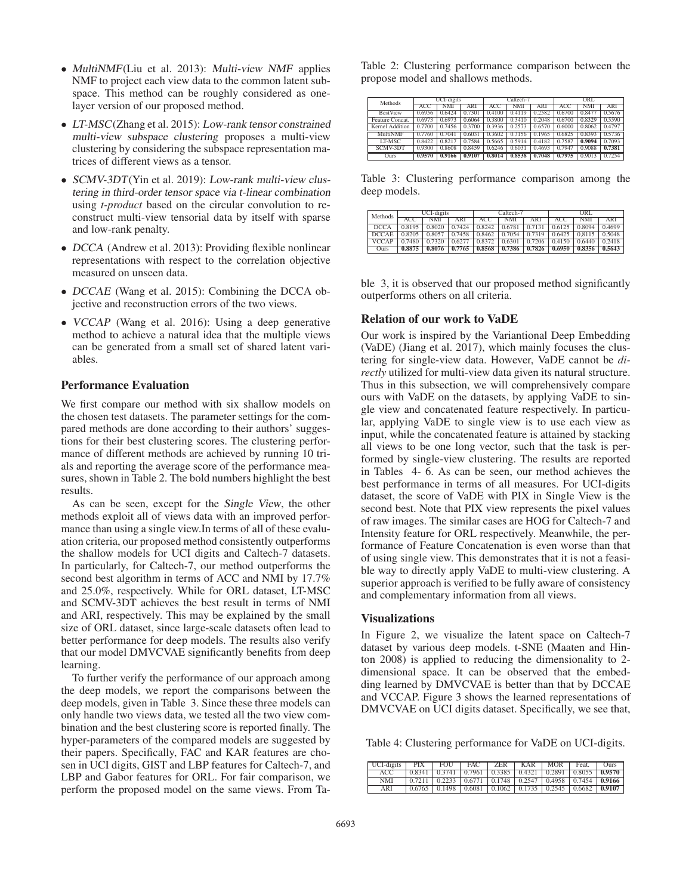- *MultiNMF*(Liu et al. 2013): *Multi-view NMF* applies NMF to project each view data to the common latent subspace. This method can be roughly considered as onelayer version of our proposed method.
- *LT-MSC*(Zhang et al. 2015): *Low-rank tensor constrained multi-view subspace clustering* proposes a multi-view clustering by considering the subspace representation matrices of different views as a tensor.
- *SCMV-3DT*(Yin et al. 2019): *Low-rank multi-view clustering in third-order tensor space via t-linear combination* using *t-product* based on the circular convolution to reconstruct multi-view tensorial data by itself with sparse and low-rank penalty.
- *DCCA* (Andrew et al. 2013): Providing flexible nonlinear representations with respect to the correlation objective measured on unseen data.
- *DCCAE* (Wang et al. 2015): Combining the DCCA objective and reconstruction errors of the two views.
- *VCCAP* (Wang et al. 2016): Using a deep generative method to achieve a natural idea that the multiple views can be generated from a small set of shared latent variables.

# Performance Evaluation

We first compare our method with six shallow models on the chosen test datasets. The parameter settings for the compared methods are done according to their authors' suggestions for their best clustering scores. The clustering performance of different methods are achieved by running 10 trials and reporting the average score of the performance measures, shown in Table 2. The bold numbers highlight the best results.

As can be seen, except for the *Single View*, the other methods exploit all of views data with an improved performance than using a single view.In terms of all of these evaluation criteria, our proposed method consistently outperforms the shallow models for UCI digits and Caltech-7 datasets. In particularly, for Caltech-7, our method outperforms the second best algorithm in terms of ACC and NMI by 17.7% and 25.0%, respectively. While for ORL dataset, LT-MSC and SCMV-3DT achieves the best result in terms of NMI and ARI, respectively. This may be explained by the small size of ORL dataset, since large-scale datasets often lead to better performance for deep models. The results also verify that our model DMVCVAE significantly benefits from deep learning.

To further verify the performance of our approach among the deep models, we report the comparisons between the deep models, given in Table 3. Since these three models can only handle two views data, we tested all the two view combination and the best clustering score is reported finally. The hyper-parameters of the compared models are suggested by their papers. Specifically, FAC and KAR features are chosen in UCI digits, GIST and LBP features for Caltech-7, and LBP and Gabor features for ORL. For fair comparison, we perform the proposed model on the same views. From Ta-

Table 2: Clustering performance comparison between the propose model and shallows methods.

| Methods         | UCI-digits |        | Caltech-7 |            |        | ORL        |        |            |        |
|-----------------|------------|--------|-----------|------------|--------|------------|--------|------------|--------|
|                 | ACC        | NMI    | ARI       | <b>ACC</b> | NMI    | <b>ARI</b> | ACC    | <b>NMI</b> | ARI    |
| <b>BestView</b> | 0.6956     | 0.6424 | 0.7301    | 0.4100     | 0.4119 | 0.2582     | 0.6700 | 0.8477     | 0.5676 |
| Feature Concat. | 0.6973     | 0.6973 | 0.6064    | 0.3800     | 0.3410 | 0.2048     | 0.6700 | 0.8329     | 0.5590 |
| Kernel Addition | 0.7700     | 0.7456 | 0.3700    | 0.3936     |        | 0.6570     | 0.6000 | 0.8062     | 0.4797 |
| MultiNMF        | 0.7760     | 0.7041 | 0.6031    | 0.3602     | 0.3156 | 0.1965     | 0.6825 | 0.8393     | 0.5736 |
| LT-MSC          | 0.8422     | 0.8217 | 0.7584    | 0.5665     | 0.5914 | 0.4182     | 0.7587 | 0.9094     | 0.7093 |
| SCMV-3DT        | 0.9300     | 0.8608 | 0.8459    | 0.6246     | 0.6031 | 0.4693     | 0.7947 | 0.9088     | 0.7381 |
| Ours            | 0.9570     | 0.9166 | 0.9107    | 0.8014     | 0.8538 | 0.7048     | 0.7975 | 0.9013     | 0.7254 |

Table 3: Clustering performance comparison among the deep models.

| Methods      | UCI-digits |        |        | Caltech-7 |        |        | ORL    |            |        |
|--------------|------------|--------|--------|-----------|--------|--------|--------|------------|--------|
|              | ACC        | NMI    | ARI    | ACC.      | NMI    | ARI    | ACC    | <b>NMI</b> | ARI    |
| <b>DCCA</b>  | 0.8195     | 0.8020 | 0.7424 | 0.8242    | 0.6781 | 0.7131 | 0.6125 | 0.8094     | 0.4699 |
| <b>DCCAE</b> | 0.8205     | 0.8057 | 0.7458 | 0.8462    | 0.7054 | 0.7319 | 0.6425 | 0.8115     | 0.5048 |
| <b>VCCAP</b> | 0.7480     | 0.7320 | 0.6277 | 0.8372    | 0.6301 | 0.7206 | 0.4150 | 0.6440     | 0.2418 |
| Ours         | 0.8875     | 0.8076 | 0.7765 | 0.8568    | 0.7386 | 0.7826 | 0.6950 | 0.8356     | 0.5643 |

ble 3, it is observed that our proposed method significantly outperforms others on all criteria.

#### Relation of our work to VaDE

Our work is inspired by the Variantional Deep Embedding (VaDE) (Jiang et al. 2017), which mainly focuses the clustering for single-view data. However, VaDE cannot be *directly* utilized for multi-view data given its natural structure. Thus in this subsection, we will comprehensively compare ours with VaDE on the datasets, by applying VaDE to single view and concatenated feature respectively. In particular, applying VaDE to single view is to use each view as input, while the concatenated feature is attained by stacking all views to be one long vector, such that the task is performed by single-view clustering. The results are reported in Tables 4- 6. As can be seen, our method achieves the best performance in terms of all measures. For UCI-digits dataset, the score of VaDE with PIX in Single View is the second best. Note that PIX view represents the pixel values of raw images. The similar cases are HOG for Caltech-7 and Intensity feature for ORL respectively. Meanwhile, the performance of Feature Concatenation is even worse than that of using single view. This demonstrates that it is not a feasible way to directly apply VaDE to multi-view clustering. A superior approach is verified to be fully aware of consistency and complementary information from all views.

### Visualizations

In Figure 2, we visualize the latent space on Caltech-7 dataset by various deep models. t-SNE (Maaten and Hinton 2008) is applied to reducing the dimensionality to 2 dimensional space. It can be observed that the embedding learned by DMVCVAE is better than that by DCCAE and VCCAP. Figure 3 shows the learned representations of DMVCVAE on UCI digits dataset. Specifically, we see that,

Table 4: Clustering performance for VaDE on UCI-digits.

| UCI-digits | <b>PIX</b> | FOU 1                                                                                      | FAC | ZER KAR | MOR <sub>I</sub> | Feat. | <b>Ours</b> |
|------------|------------|--------------------------------------------------------------------------------------------|-----|---------|------------------|-------|-------------|
| ACC.       |            | $0.8341$   $0.3741$   $0.7961$   $0.3385$   $0.4321$   $0.2891$   $0.8055$   <b>0.9570</b> |     |         |                  |       |             |
| NMI        |            | $0.7211$   $0.2233$   $0.6771$   $0.1748$   $0.2547$   $0.4958$   $0.7454$   <b>0.9166</b> |     |         |                  |       |             |
| ARI        |            | $0.6765$ $0.1498$ $0.6081$ $0.1062$ $0.1735$ $0.2545$ $0.6682$ $0.9107$                    |     |         |                  |       |             |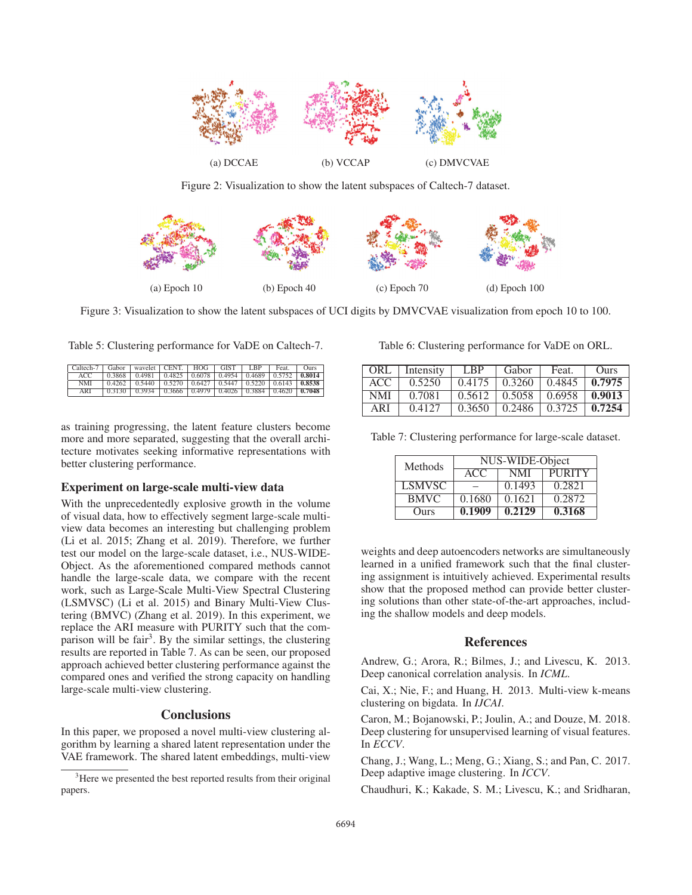

Figure 2: Visualization to show the latent subspaces of Caltech-7 dataset.



Figure 3: Visualization to show the latent subspaces of UCI digits by DMVCVAE visualization from epoch 10 to 100.

Table 5: Clustering performance for VaDE on Caltech-7.

| Caltech-7   Gabor   wavelet   CENT.   HOG   GIST   LBP |                                                                                            |  |  | Feat. | <b>Ours</b> |
|--------------------------------------------------------|--------------------------------------------------------------------------------------------|--|--|-------|-------------|
| ACC                                                    | $0.3868$   $0.4981$   $0.4825$   $0.6078$   $0.4954$   $0.4689$   $0.5752$   <b>0.8014</b> |  |  |       |             |
| NMI                                                    | $0.4262$   $0.5440$   $0.5270$   $0.6427$   $0.5447$   $0.5220$   $0.6143$   $0.8538$      |  |  |       |             |
| ARI                                                    | $0.3130$   $0.3934$   $0.3666$   $0.4979$   $0.4026$   $0.3884$   $0.4620$   <b>0.7048</b> |  |  |       |             |

as training progressing, the latent feature clusters become more and more separated, suggesting that the overall architecture motivates seeking informative representations with better clustering performance.

# Experiment on large-scale multi-view data

With the unprecedentedly explosive growth in the volume of visual data, how to effectively segment large-scale multiview data becomes an interesting but challenging problem (Li et al. 2015; Zhang et al. 2019). Therefore, we further test our model on the large-scale dataset, i.e., NUS-WIDE-Object. As the aforementioned compared methods cannot handle the large-scale data, we compare with the recent work, such as Large-Scale Multi-View Spectral Clustering (LSMVSC) (Li et al. 2015) and Binary Multi-View Clustering (BMVC) (Zhang et al. 2019). In this experiment, we replace the ARI measure with PURITY such that the comparison will be fair<sup>3</sup>. By the similar settings, the clustering results are reported in Table 7. As can be seen, our proposed approach achieved better clustering performance against the compared ones and verified the strong capacity on handling large-scale multi-view clustering.

### **Conclusions**

In this paper, we proposed a novel multi-view clustering algorithm by learning a shared latent representation under the VAE framework. The shared latent embeddings, multi-view

Table 6: Clustering performance for VaDE on ORL.

| ORL        | Intensity | <b>LBP</b> | Gabor  | Feat.                                          | Ours             |
|------------|-----------|------------|--------|------------------------------------------------|------------------|
| ACC.       | 0.5250    | 0.4175     | 0.3260 | 0.4845                                         | $\mid$ 0.7975    |
| <b>NMI</b> | 0.7081    |            |        | $0.5612$   $0.5058$   $0.6958$   <b>0.9013</b> |                  |
| ARI        | 0.4127    | 0.3650     | 0.2486 | 0.3725                                         | $\bigcup 0.7254$ |

| Table 7: Clustering performance for large-scale dataset. |  |  |  |
|----------------------------------------------------------|--|--|--|
|----------------------------------------------------------|--|--|--|

| Methods       | NUS-WIDE-Object |            |               |  |  |  |
|---------------|-----------------|------------|---------------|--|--|--|
|               | ACC.            | <b>NMI</b> | <b>PURITY</b> |  |  |  |
| <b>LSMVSC</b> |                 | 0.1493     | 0.2821        |  |  |  |
| <b>BMVC</b>   | 0.1680          | 0.1621     | 0.2872        |  |  |  |
| Ours          | 0.1909          | 0.2129     | 0.3168        |  |  |  |

weights and deep autoencoders networks are simultaneously learned in a unified framework such that the final clustering assignment is intuitively achieved. Experimental results show that the proposed method can provide better clustering solutions than other state-of-the-art approaches, including the shallow models and deep models.

### **References**

Andrew, G.; Arora, R.; Bilmes, J.; and Livescu, K. 2013. Deep canonical correlation analysis. In *ICML*.

Cai, X.; Nie, F.; and Huang, H. 2013. Multi-view k-means clustering on bigdata. In *IJCAI*.

Caron, M.; Bojanowski, P.; Joulin, A.; and Douze, M. 2018. Deep clustering for unsupervised learning of visual features. In *ECCV*.

Chang, J.; Wang, L.; Meng, G.; Xiang, S.; and Pan, C. 2017. Deep adaptive image clustering. In *ICCV*.

Chaudhuri, K.; Kakade, S. M.; Livescu, K.; and Sridharan,

<sup>&</sup>lt;sup>3</sup>Here we presented the best reported results from their original papers.